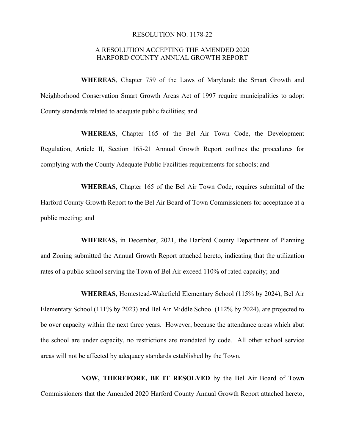## RESOLUTION NO. 1178-22

## A RESOLUTION ACCEPTING THE AMENDED 2020 HARFORD COUNTY ANNUAL GROWTH REPORT

**WHEREAS**, Chapter 759 of the Laws of Maryland: the Smart Growth and Neighborhood Conservation Smart Growth Areas Act of 1997 require municipalities to adopt County standards related to adequate public facilities; and

**WHEREAS**, Chapter 165 of the Bel Air Town Code, the Development Regulation, Article II, Section 165-21 Annual Growth Report outlines the procedures for complying with the County Adequate Public Facilities requirements for schools; and

**WHEREAS**, Chapter 165 of the Bel Air Town Code, requires submittal of the Harford County Growth Report to the Bel Air Board of Town Commissioners for acceptance at a public meeting; and

**WHEREAS,** in December, 2021, the Harford County Department of Planning and Zoning submitted the Annual Growth Report attached hereto, indicating that the utilization rates of a public school serving the Town of Bel Air exceed 110% of rated capacity; and

**WHEREAS**, Homestead-Wakefield Elementary School (115% by 2024), Bel Air Elementary School (111% by 2023) and Bel Air Middle School (112% by 2024), are projected to be over capacity within the next three years. However, because the attendance areas which abut the school are under capacity, no restrictions are mandated by code. All other school service areas will not be affected by adequacy standards established by the Town.

**NOW, THEREFORE, BE IT RESOLVED** by the Bel Air Board of Town Commissioners that the Amended 2020 Harford County Annual Growth Report attached hereto,